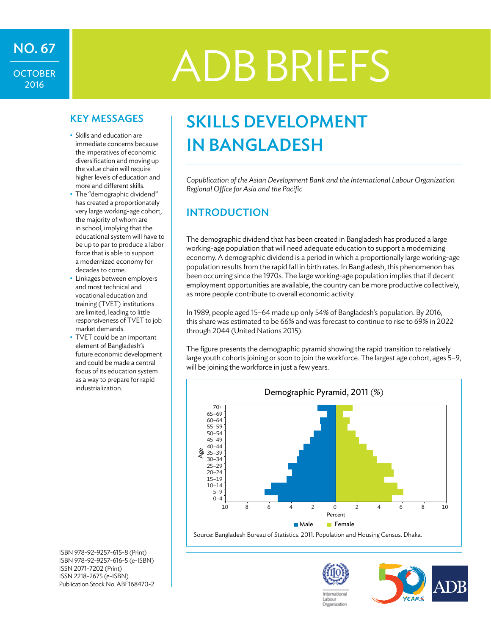## **OCTOBER** 2016

# ADBBRIEFS NO. 67

- Skills and education are immediate concerns because the imperatives of economic diversification and moving up the value chain will require higher levels of education and more and different skills.
- The "demographic dividend" has created a proportionately very large working-age cohort, the majority of whom are in school, implying that the educational system will have to be up to par to produce a labor force that is able to support a modernized economy for decades to come.
- Linkages between employers and most technical and vocational education and training (TVET) institutions are limited, leading to little responsiveness of TVET to job market demands.
- TVET could be an important element of Bangladesh's future economic development and could be made a central focus of its education system as a way to prepare for rapid industrialization.

KEY MESSAGES | SKILLS DEVELOPMENT in Bangladesh

> *Copublication of the Asian Development Bank and the International Labour Organization Regional Office for Asia and the Pacific*

#### **INTRODUCTION**

The demographic dividend that has been created in Bangladesh has produced a large working-age population that will need adequate education to support a modernizing economy. A demographic dividend is a period in which a proportionally large working-age population results from the rapid fall in birth rates. In Bangladesh, this phenomenon has been occurring since the 1970s. The large working-age population implies that if decent employment opportunities are available, the country can be more productive collectively, as more people contribute to overall economic activity.

In 1989, people aged 15–64 made up only 54% of Bangladesh's population. By 2016, this share was estimated to be 66% and was forecast to continue to rise to 69% in 2022 through 2044 (United Nations 2015).

The figure presents the demographic pyramid showing the rapid transition to relatively large youth cohorts joining or soon to join the workforce. The largest age cohort, ages 5–9, will be joining the workforce in just a few years.



ISBN 978-92-9257-615-8 (Print) ISBN 978-92-9257-616-5 (e-ISBN) ISSN 2071-7202 (Print) ISSN 2218-2675 (e-ISBN) Publication Stock No. ABF168470-2



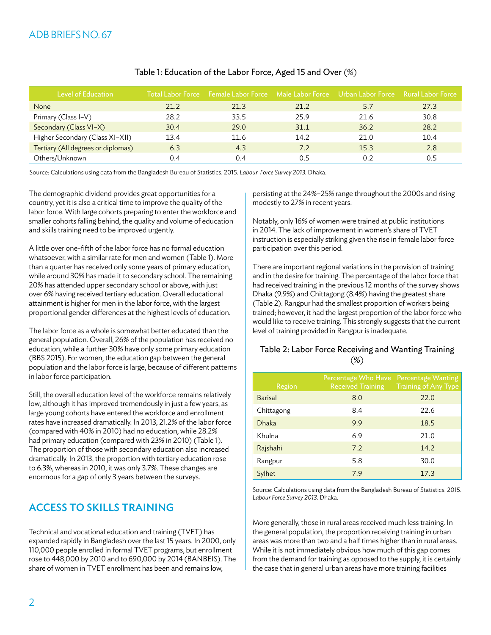| <b>Level of Education</b>          |      | Total Labor Force Female Labor Force Male Labor Force Urban Labor Force Rural Labor Force |      |      |      |
|------------------------------------|------|-------------------------------------------------------------------------------------------|------|------|------|
| None                               | 21.2 | 21.3                                                                                      | 21.2 | 5.7  | 27.3 |
| Primary (Class I-V)                | 28.2 | 33.5                                                                                      | 25.9 | 21.6 | 30.8 |
| Secondary (Class VI-X)             | 30.4 | 29.0                                                                                      | 31.1 | 36.2 | 28.2 |
| Higher Secondary (Class XI-XII)    | 13.4 | 11.6                                                                                      | 14.2 | 21.0 | 10.4 |
| Tertiary (All degrees or diplomas) | 6.3  | 4.3                                                                                       | 7.2  | 15.3 | 2.8  |
| Others/Unknown                     | ი 4  | 0.4                                                                                       | ი 5  | 0.2  | 0.5  |

#### Table 1: Education of the Labor Force, Aged 15 and Over (%)

Source: Calculations using data from the Bangladesh Bureau of Statistics. 2015. *Labour Force Survey 2013.* Dhaka.

The demographic dividend provides great opportunities for a country, yet it is also a critical time to improve the quality of the labor force. With large cohorts preparing to enter the workforce and smaller cohorts falling behind, the quality and volume of education and skills training need to be improved urgently.

A little over one-fifth of the labor force has no formal education whatsoever, with a similar rate for men and women (Table 1). More than a quarter has received only some years of primary education, while around 30% has made it to secondary school. The remaining 20% has attended upper secondary school or above, with just over 6% having received tertiary education. Overall educational attainment is higher for men in the labor force, with the largest proportional gender differences at the highest levels of education.

The labor force as a whole is somewhat better educated than the general population. Overall, 26% of the population has received no education, while a further 30% have only some primary education (BBS 2015). For women, the education gap between the general population and the labor force is large, because of different patterns in labor force participation.

Still, the overall education level of the workforce remains relatively low, although it has improved tremendously in just a few years, as large young cohorts have entered the workforce and enrollment rates have increased dramatically. In 2013, 21.2% of the labor force (compared with 40% in 2010) had no education, while 28.2% had primary education (compared with 23% in 2010) (Table 1). The proportion of those with secondary education also increased dramatically. In 2013, the proportion with tertiary education rose to 6.3%, whereas in 2010, it was only 3.7%. These changes are enormous for a gap of only 3 years between the surveys.

#### Access to Skills Training

Technical and vocational education and training (TVET) has expanded rapidly in Bangladesh over the last 15 years. In 2000, only 110,000 people enrolled in formal TVET programs, but enrollment rose to 448,000 by 2010 and to 690,000 by 2014 (BANBEIS). The share of women in TVET enrollment has been and remains low,

persisting at the 24%–25% range throughout the 2000s and rising modestly to 27% in recent years.

Notably, only 16% of women were trained at public institutions in 2014. The lack of improvement in women's share of TVET instruction is especially striking given the rise in female labor force participation over this period.

There are important regional variations in the provision of training and in the desire for training. The percentage of the labor force that had received training in the previous 12 months of the survey shows Dhaka (9.9%) and Chittagong (8.4%) having the greatest share (Table 2). Rangpur had the smallest proportion of workers being trained; however, it had the largest proportion of the labor force who would like to receive training. This strongly suggests that the current level of training provided in Rangpur is inadequate.

#### Table 2: Labor Force Receiving and Wanting Training  $(%)$

| Region         | Percentage Who Have<br><b>Received Training</b> | <b>Percentage Wanting</b><br>Training of Any Type |
|----------------|-------------------------------------------------|---------------------------------------------------|
| <b>Barisal</b> | 8.0                                             | 22.0                                              |
| Chittagong     | 8.4                                             | 22.6                                              |
| <b>Dhaka</b>   | 9.9                                             | 18.5                                              |
| Khulna         | 6.9                                             | 21.0                                              |
| Rajshahi       | 7.2                                             | 14.2                                              |
| Rangpur        | 5.8                                             | 30.0                                              |
| Sylhet         | 7.9                                             | 17.3                                              |

Source: Calculations using data from the Bangladesh Bureau of Statistics. 2015. *Labour Force Survey 2013.* Dhaka.

More generally, those in rural areas received much less training. In the general population, the proportion receiving training in urban areas was more than two and a half times higher than in rural areas. While it is not immediately obvious how much of this gap comes from the demand for training as opposed to the supply, it is certainly the case that in general urban areas have more training facilities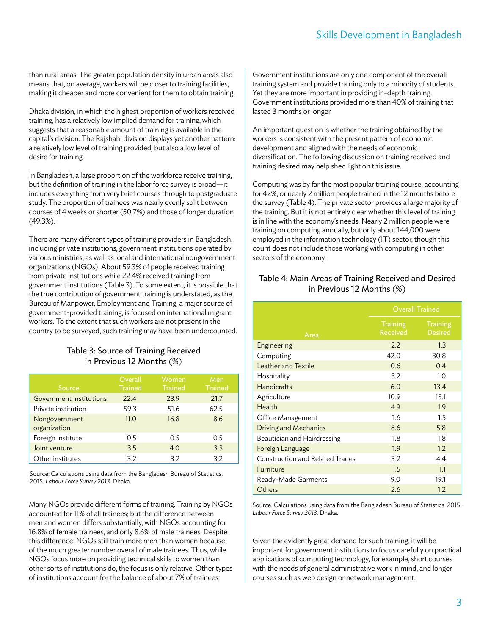than rural areas. The greater population density in urban areas also means that, on average, workers will be closer to training facilities, making it cheaper and more convenient for them to obtain training.

Dhaka division, in which the highest proportion of workers received training, has a relatively low implied demand for training, which suggests that a reasonable amount of training is available in the capital's division. The Rajshahi division displays yet another pattern: a relatively low level of training provided, but also a low level of desire for training.

In Bangladesh, a large proportion of the workforce receive training, but the definition of training in the labor force survey is broad—it includes everything from very brief courses through to postgraduate study. The proportion of trainees was nearly evenly split between courses of 4 weeks or shorter(50.7%) and those of longer duration (49.3%).

There are many different types of training providers in Bangladesh, including private institutions, government institutions operated by various ministries, as well as local and international nongovernment organizations (NGOs). About 59.3% of people received training from private institutions while 22.4% received training from government institutions (Table 3). To some extent, it is possible that the true contribution of government training is understated, as the Bureau of Manpower, Employment and Training, a major source of government-provided training, is focused on international migrant workers. To the extent that such workers are not present in the country to be surveyed, such training may have been undercounted.

#### Table 3: Source of Training Received in Previous 12 Months (%)

| Source                         | Overall<br><b>Trained</b> | Women<br><b>Trained</b> | Men<br><b>Trained</b> |
|--------------------------------|---------------------------|-------------------------|-----------------------|
| <b>Government institutions</b> | 22.4                      | 23.9                    | 21.7                  |
| Private institution            | 59.3                      | 51.6                    | 62.5                  |
| Nongovernment<br>organization  | 11.0                      | 16.8                    | 8.6                   |
| Foreign institute              | 0.5                       | 0.5                     | 0.5                   |
| Joint venture                  | 3.5                       | 4.0                     | 3.3                   |
| Other institutes               | 3.2                       | 3.2                     | 3.2                   |

Source: Calculations using data from the Bangladesh Bureau of Statistics. 2015. *Labour Force Survey 2013.* Dhaka.

Many NGOs provide different forms of training. Training by NGOs accounted for 11% of all trainees; but the difference between men and women differs substantially, with NGOs accounting for 16.8% of female trainees, and only 8.6% of male trainees. Despite this difference, NGOs still train more men than women because of the much greater number overall of male trainees. Thus, while NGOs focus more on providing technical skills to women than other sorts of institutions do, the focus is only relative. Other types of institutions account for the balance of about 7% of trainees.

Government institutions are only one component of the overall training system and provide training only to a minority of students. Yet they are more important in providing in-depth training. Government institutions provided more than 40% of training that lasted 3 months or longer.

An important question is whether the training obtained by the workers is consistent with the present pattern of economic development and aligned with the needs of economic diversification. The following discussion on training received and training desired may help shed light on this issue.

Computing was by far the most popular training course, accounting for 42%, or nearly 2 million people trained in the 12 months before the survey (Table 4). The private sector provides a large majority of the training. But it is not entirely clear whether this level of training is in line with the economy's needs. Nearly 2 million people were training on computing annually, but only about 144,000 were employed in the information technology (IT) sector, though this count does not include those working with computing in other sectors of the economy.

#### Table 4: Main Areas of Training Received and Desired in Previous 12 Months (%)

|                                        | <b>Overall Trained</b>      |                                   |  |
|----------------------------------------|-----------------------------|-----------------------------------|--|
| Area                                   | <b>Training</b><br>Received | <b>Training</b><br><b>Desired</b> |  |
| Engineering                            | 2.2                         | 1.3                               |  |
| Computing                              | 42.0                        | 30.8                              |  |
| <b>Leather and Textile</b>             | 0.6                         | 0.4                               |  |
| Hospitality                            | 3.2                         | 1.0                               |  |
| <b>Handicrafts</b>                     | 6.0                         | 13.4                              |  |
| Agriculture                            | 10.9                        | 15.1                              |  |
| Health                                 | 4.9                         | 1.9                               |  |
| Office Management                      | 1.6                         | 1.5                               |  |
| Driving and Mechanics                  | 8.6                         | 5.8                               |  |
| Beautician and Hairdressing            | 1.8                         | 1.8                               |  |
| Foreign Language                       | 1.9                         | 1.2                               |  |
| <b>Construction and Related Trades</b> | 3.2                         | 4.4                               |  |
| Furniture                              | 1.5                         | 1.1                               |  |
| Ready-Made Garments                    | 9.0                         | 19.1                              |  |
| Others                                 | 2.6                         | 1.2                               |  |

Source: Calculations using data from the Bangladesh Bureau of Statistics. 2015. *Labour Force Survey 2013.* Dhaka.

Given the evidently great demand for such training, it will be important for government institutions to focus carefully on practical applications of computing technology, for example, short courses with the needs of general administrative work in mind, and longer courses such as web design or network management.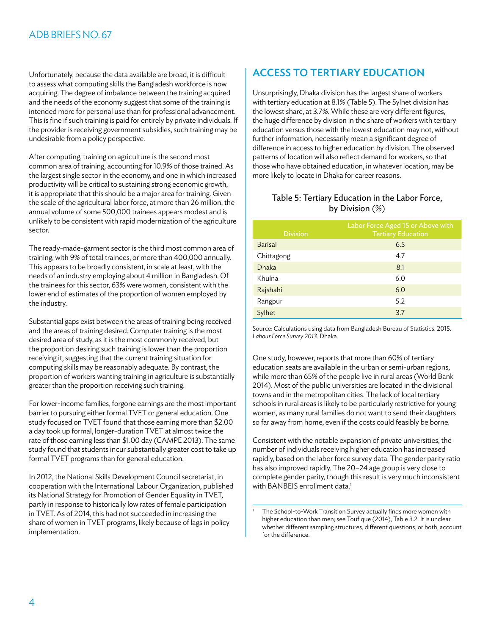Unfortunately, because the data available are broad, it is difficult to assess what computing skills the Bangladesh workforce is now acquiring. The degree of imbalance between the training acquired and the needs of the economy suggest that some of the training is intended more for personal use than for professional advancement. This is fine if such training is paid for entirely by private individuals. If the provider is receiving government subsidies, such training may be undesirable from a policy perspective.

After computing, training on agriculture is the second most common area of training, accounting for 10.9% of those trained. As the largest single sector in the economy, and one in which increased productivity will be critical to sustaining strong economic growth, it is appropriate that this should be a major area for training. Given the scale of the agricultural labor force, at more than 26 million, the annual volume of some 500,000 trainees appears modest and is unlikely to be consistent with rapid modernization of the agriculture sector.

The ready-made-garment sector is the third most common area of training, with 9% of total trainees, or more than 400,000 annually. This appears to be broadly consistent, in scale at least, with the needs of an industry employing about 4 million in Bangladesh. Of the trainees for this sector, 63% were women, consistent with the lower end of estimates of the proportion of women employed by the industry.

Substantial gaps exist between the areas of training being received and the areas of training desired. Computer training is the most desired area of study, as it is the most commonly received, but the proportion desiring such training is lower than the proportion receiving it, suggesting that the current training situation for computing skills may be reasonably adequate. By contrast, the proportion of workers wanting training in agriculture is substantially greater than the proportion receiving such training.

For lower-income families, forgone earnings are the most important barrier to pursuing either formal TVET or general education. One study focused on TVET found that those earning more than \$2.00 a day took up formal, longer-duration TVET at almost twice the rate of those earning less than \$1.00 day (CAMPE 2013). The same study found that students incur substantially greater cost to take up formal TVET programs than for general education.

In 2012, the National Skills Development Council secretariat, in cooperation with the International Labour Organization, published its National Strategy for Promotion of Gender Equality in TVET, partly in response to historically low rates of female participation in TVET. As of 2014, this had not succeeded in increasing the share of women in TVET programs, likely because of lags in policy implementation.

### Access to Tertiary Education

Unsurprisingly, Dhaka division has the largest share of workers with tertiary education at 8.1% (Table 5). The Sylhet division has the lowest share, at 3.7%. While these are very different figures, the huge difference by division in the share of workers with tertiary education versus those with the lowest education may not, without further information, necessarily mean a significant degree of difference in access to higher education by division. The observed patterns of location will also reflect demand for workers, so that those who have obtained education, in whatever location, may be more likely to locate in Dhaka for career reasons.

#### Table 5: Tertiary Education in the Labor Force, by Division (%)

| Labor Force Aged 15 or Above with<br><b>Tertiary Education</b> |
|----------------------------------------------------------------|
| 6.5                                                            |
| 4.7                                                            |
| 8.1                                                            |
| 6.0                                                            |
| 6.0                                                            |
| 5.2                                                            |
| 3.7                                                            |
|                                                                |

Source: Calculations using data from Bangladesh Bureau of Statistics. 2015. *Labour Force Survey 2013*. Dhaka.

One study, however, reports that more than 60% of tertiary education seats are available in the urban or semi-urban regions, while more than 65% of the people live in rural areas (World Bank 2014). Most of the public universities are located in the divisional towns and in the metropolitan cities. The lack of local tertiary schools in rural areas is likely to be particularly restrictive for young women, as many rural families do not want to send their daughters so far away from home, even if the costs could feasibly be borne.

Consistent with the notable expansion of private universities, the number of individuals receiving higher education has increased rapidly, based on the labor force survey data. The gender parity ratio has also improved rapidly. The 20–24 age group is very close to complete gender parity, though this result is very much inconsistent with BANBEIS enrollment data.<sup>1</sup>

<sup>1</sup> The School-to-Work Transition Survey actually finds more women with higher education than men; see Toufique (2014), Table 3.2. It is unclear whether different sampling structures, different questions, or both, account for the difference.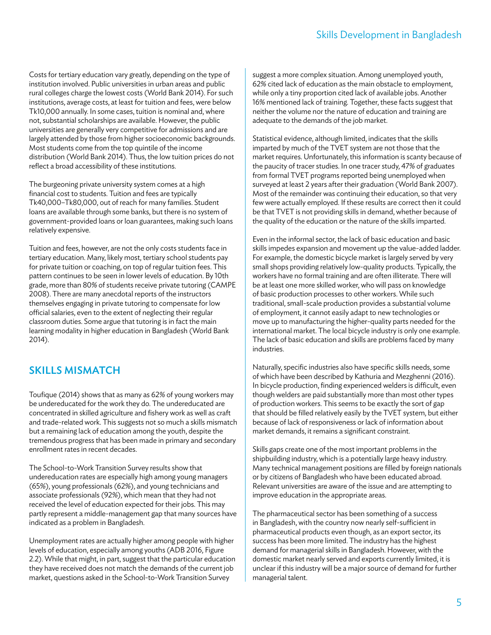Costs for tertiary education vary greatly, depending on the type of institution involved. Public universities in urban areas and public rural colleges charge the lowest costs (World Bank 2014). For such institutions, average costs, at least for tuition and fees, were below Tk10,000 annually. In some cases, tuition is nominal and, where not, substantial scholarships are available. However, the public universities are generally very competitive for admissions and are largely attended by those from higher socioeconomic backgrounds. Most students come from the top quintile of the income distribution (World Bank 2014). Thus, the low tuition prices do not reflect a broad accessibility of these institutions.

The burgeoning private university system comes at a high financial cost to students. Tuition and fees are typically Tk40,000–Tk80,000, out of reach for many families. Student loans are available through some banks, but there is no system of government-provided loans or loan guarantees, making such loans relatively expensive.

Tuition and fees, however, are not the only costs students face in tertiary education. Many, likely most, tertiary school students pay for private tuition or coaching, on top of regular tuition fees. This pattern continues to be seen in lower levels of education. By 10th grade, more than 80% of students receive private tutoring (CAMPE 2008). There are many anecdotal reports of the instructors themselves engaging in private tutoring to compensate for low official salaries, even to the extent of neglecting their regular classroom duties. Some argue that tutoring is in fact the main learning modality in higher education in Bangladesh (World Bank 2014).

#### Skills Mismatch

Toufique (2014) shows that as many as 62% of young workers may be undereducated for the work they do. The undereducated are concentrated in skilled agriculture and fishery work as well as craft and trade-related work. This suggests not so much a skills mismatch but a remaining lack of education among the youth, despite the tremendous progress that has been made in primary and secondary enrollment rates in recent decades.

The School-to-Work Transition Survey results show that undereducation rates are especially high among young managers (65%), young professionals (62%), and young technicians and associate professionals (92%), which mean that they had not received the level of education expected for their jobs. This may partly represent a middle-management gap that many sources have indicated as a problem in Bangladesh.

Unemployment rates are actually higher among people with higher levels of education, especially among youths (ADB 2016, Figure 2.2). While that might, in part, suggest that the particular education they have received does not match the demands of the current job market, questions asked in the School-to-Work Transition Survey

suggest a more complex situation. Among unemployed youth, 62% cited lack of education as the main obstacle to employment, while only a tiny proportion cited lack of available jobs. Another 16% mentioned lack of training. Together, these facts suggest that neither the volume nor the nature of education and training are adequate to the demands of the job market.

Statistical evidence, although limited, indicates that the skills imparted by much of the TVET system are not those that the market requires. Unfortunately, this information is scanty because of the paucity of tracer studies. In one tracer study, 47% of graduates from formal TVET programs reported being unemployed when surveyed at least 2 years after their graduation (World Bank 2007). Most of the remainder was continuing their education, so that very few were actually employed. If these results are correct then it could be that TVET is not providing skills in demand, whether because of the quality of the education or the nature of the skills imparted.

Even in the informal sector, the lack of basic education and basic skills impedes expansion and movement up the value-added ladder. For example, the domestic bicycle market is largely served by very small shops providing relatively low-quality products. Typically, the workers have no formal training and are often illiterate. There will be at least one more skilled worker, who will pass on knowledge of basic production processes to other workers. While such traditional, small-scale production provides a substantial volume of employment, it cannot easily adapt to new technologies or move up to manufacturing the higher-quality parts needed for the international market. The local bicycle industry is only one example. The lack of basic education and skills are problems faced by many industries.

Naturally, specific industries also have specific skills needs, some of which have been described by Kathuria and Mezghenni(2016). In bicycle production, finding experienced welders is difficult, even though welders are paid substantially more than most other types of production workers. This seems to be exactly the sort of gap that should be filled relatively easily by the TVET system, but either because of lack of responsiveness or lack of information about market demands, it remains a significant constraint.

Skills gaps create one of the most important problems in the shipbuilding industry, which is a potentially large heavy industry. Many technical management positions are filled by foreign nationals or by citizens of Bangladesh who have been educated abroad. Relevant universities are aware of the issue and are attempting to improve education in the appropriate areas.

The pharmaceutical sector has been something of a success in Bangladesh, with the country now nearly self-sufficient in pharmaceutical products even though, as an export sector, its success has been more limited. The industry has the highest demand for managerial skills in Bangladesh. However, with the domestic market nearly served and exports currently limited, it is unclear if this industry will be a major source of demand for further managerial talent.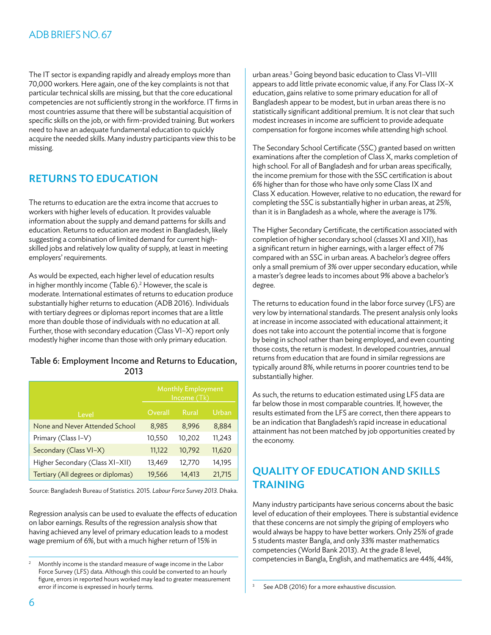#### ADB BRIEFS NO. 67

The IT sector is expanding rapidly and already employs more than 70,000 workers. Here again, one of the key complaints is not that particular technical skills are missing, but that the core educational competencies are not sufficiently strong in the workforce. IT firms in most countries assume that there will be substantial acquisition of specific skills on the job, or with firm-provided training. But workers need to have an adequate fundamental education to quickly acquire the needed skills. Many industry participants view this to be missing.

#### Returns to Education

The returns to education are the extra income that accrues to workers with higher levels of education. It provides valuable information about the supply and demand patterns for skills and education. Returns to education are modest in Bangladesh, likely suggesting a combination of limited demand for current highskilled jobs and relatively low quality of supply, at least in meeting employers' requirements.

As would be expected, each higher level of education results in higher monthly income (Table 6).<sup>2</sup> However, the scale is moderate. International estimates of returns to education produce substantially higher returns to education (ADB 2016). Individuals with tertiary degrees or diplomas report incomes that are a little more than double those of individuals with no education at all. Further, those with secondary education (Class VI-X) report only modestly higher income than those with only primary education.

#### Table 6: Employment Income and Returns to Education, 2013

|                                    | <b>Monthly Employment</b><br>Income (Tk) |              |        |
|------------------------------------|------------------------------------------|--------------|--------|
| Level                              | Overall                                  | <b>Rural</b> | Urban  |
| None and Never Attended School     | 8,985                                    | 8,996        | 8,884  |
| Primary (Class I-V)                | 10,550                                   | 10,202       | 11,243 |
| Secondary (Class VI-X)             | 11,122                                   | 10,792       | 11,620 |
| Higher Secondary (Class XI-XII)    | 13,469                                   | 12,770       | 14,195 |
| Tertiary (All degrees or diplomas) | 19,566                                   | 14,413       | 21,715 |

Source: Bangladesh Bureau of Statistics. 2015. *Labour Force Survey 2013.* Dhaka.

Regression analysis can be used to evaluate the effects of education on labor earnings. Results of the regression analysis show that having achieved any level of primary education leads to a modest wage premium of 6%, but with a much higher return of 15% in

urban areas.<sup>3</sup> Going beyond basic education to Class VI-VIII appears to add little private economic value, if any. For Class IX–X education, gains relative to some primary education for all of Bangladesh appear to be modest, but in urban areas there is no statistically significant additional premium. It is not clear that such modest increases in income are sufficient to provide adequate compensation for forgone incomes while attending high school.

The Secondary School Certificate (SSC) granted based on written examinations after the completion of Class X, marks completion of high school. For all of Bangladesh and for urban areas specifically, the income premium for those with the SSC certification is about 6% higher than for those who have only some Class IX and Class X education. However, relative to no education, the reward for completing the SSC is substantially higher in urban areas, at 25%, than it is in Bangladesh as a whole, where the average is 17%.

The Higher Secondary Certificate, the certification associated with completion of higher secondary school (classes XI and XII), has a significant return in higher earnings, with a larger effect of 7% compared with an SSC in urban areas. A bachelor's degree offers only a small premium of 3% over upper secondary education, while a master's degree leads to incomes about 9% above a bachelor's degree.

The returns to education found in the labor force survey (LFS) are very low by international standards. The present analysis only looks at increase in income associated with educational attainment; it does not take into account the potential income that is forgone by being in school rather than being employed, and even counting those costs, the return is modest. In developed countries, annual returns from education that are found in similar regressions are typically around 8%, while returns in poorer countries tend to be substantially higher.

As such, the returns to education estimated using LFS data are far below those in most comparable countries. If, however, the results estimated from the LFS are correct, then there appears to be an indication that Bangladesh's rapid increase in educational attainment has not been matched by job opportunities created by the economy.

### Quality of Education and Skills **TRAINING**

Many industry participants have serious concerns about the basic level of education of their employees. There is substantial evidence that these concerns are not simply the griping of employers who would always be happy to have better workers. Only 25% of grade 5 students master Bangla, and only 33% master mathematics competencies (World Bank 2013). At the grade 8 level, competencies in Bangla, English, and mathematics are 44%, 44%,

<sup>2</sup> Monthly income is the standard measure of wage income in the Labor Force Survey (LFS) data. Although this could be converted to an hourly figure, errors in reported hours worked may lead to greater measurement error if income is expressed in hourly terms.

See ADB (2016) for a more exhaustive discussion.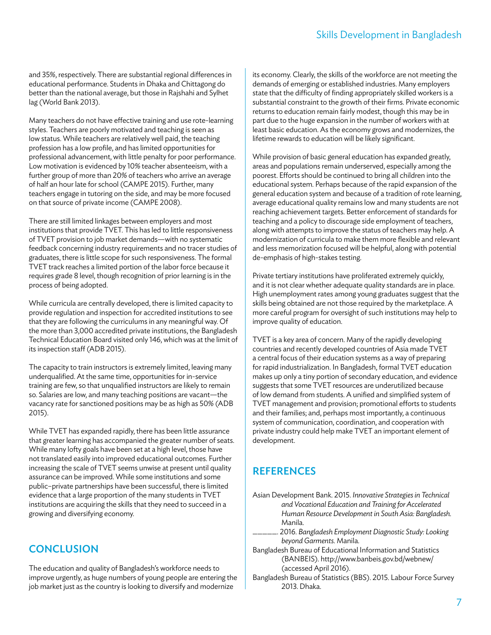and 35%, respectively. There are substantial regional differences in educational performance. Students in Dhaka and Chittagong do better than the national average, but those in Rajshahi and Sylhet lag (World Bank 2013).

Many teachers do not have effective training and use rote-learning styles. Teachers are poorly motivated and teaching is seen as low status. While teachers are relatively well paid, the teaching profession has a low profile, and has limited opportunities for professional advancement, with little penalty for poor performance. Low motivation is evidenced by 10% teacher absenteeism, with a further group of more than 20% of teachers who arrive an average of half an hour late for school(CAMPE 2015). Further, many teachers engage in tutoring on the side, and may be more focused on that source of private income (CAMPE 2008).

There are still limited linkages between employers and most institutions that provide TVET. This has led to little responsiveness of TVET provision to job market demands—with no systematic feedback concerning industry requirements and no tracer studies of graduates, there is little scope for such responsiveness. The formal TVET track reaches a limited portion of the labor force because it requires grade 8 level, though recognition of prior learning is in the process of being adopted.

While curricula are centrally developed, there is limited capacity to provide regulation and inspection for accredited institutions to see that they are following the curriculums in any meaningful way. Of the more than 3,000 accredited private institutions, the Bangladesh Technical Education Board visited only 146, which was at the limit of its inspection staff(ADB 2015).

The capacity to train instructors is extremely limited, leaving many underqualified. At the same time, opportunities for in-service training are few, so that unqualified instructors are likely to remain so. Salaries are low, and many teaching positions are vacant—the vacancy rate for sanctioned positions may be as high as 50% (ADB 2015).

While TVET has expanded rapidly, there has been little assurance that greater learning has accompanied the greater number of seats. While many lofty goals have been set at a high level, those have not translated easily into improved educational outcomes. Further increasing the scale of TVET seems unwise at present until quality assurance can be improved. While some institutions and some public–private partnerships have been successful, there is limited evidence that a large proportion of the many students in TVET institutions are acquiring the skills that they need to succeed in a growing and diversifying economy.

#### **CONCLUSION**

The education and quality of Bangladesh's workforce needs to improve urgently, as huge numbers of young people are entering the job market just as the country is looking to diversify and modernize

its economy. Clearly, the skills of the workforce are not meeting the demands of emerging or established industries. Many employers state that the difficulty of finding appropriately skilled workers is a substantial constraint to the growth of their firms. Private economic returns to education remain fairly modest, though this may be in part due to the huge expansion in the number of workers with at least basic education. As the economy grows and modernizes, the lifetime rewards to education will be likely significant.

While provision of basic general education has expanded greatly, areas and populations remain underserved, especially among the poorest. Efforts should be continued to bring all children into the educational system. Perhaps because of the rapid expansion of the general education system and because of a tradition of rote learning, average educational quality remains low and many students are not reaching achievement targets. Better enforcement of standards for teaching and a policy to discourage side employment of teachers, along with attempts to improve the status of teachers may help. A modernization of curricula to make them more flexible and relevant and less memorization focused will be helpful, along with potential de-emphasis of high-stakes testing.

Private tertiary institutions have proliferated extremely quickly, and it is not clear whether adequate quality standards are in place. High unemployment rates among young graduates suggest that the skills being obtained are not those required by the marketplace. A more careful program for oversight of such institutions may help to improve quality of education.

TVET is a key area of concern. Many of the rapidly developing countries and recently developed countries of Asia made TVET a central focus of their education systems as a way of preparing for rapid industrialization. In Bangladesh, formal TVET education makes up only a tiny portion of secondary education, and evidence suggests that some TVET resources are underutilized because of low demand from students. A unified and simplified system of TVET management and provision; promotional efforts to students and their families; and, perhaps most importantly, a continuous system of communication, coordination, and cooperation with private industry could help make TVET an important element of development.

#### **REFERENCES**

- Asian Development Bank. 2015. *Innovative Strategies in Technical and Vocational Education and Training for Accelerated Human Resource Development in South Asia: Bangladesh.*  Manila.
- \_\_\_\_\_. 2016. *Bangladesh Employment Diagnostic Study: Looking beyond Garments.* Manila.
- Bangladesh Bureau of Educational Information and Statistics (BANBEIS). http://www.banbeis.gov.bd/webnew/ (accessed April 2016).
- Bangladesh Bureau of Statistics (BBS). 2015. Labour Force Survey 2013. Dhaka.